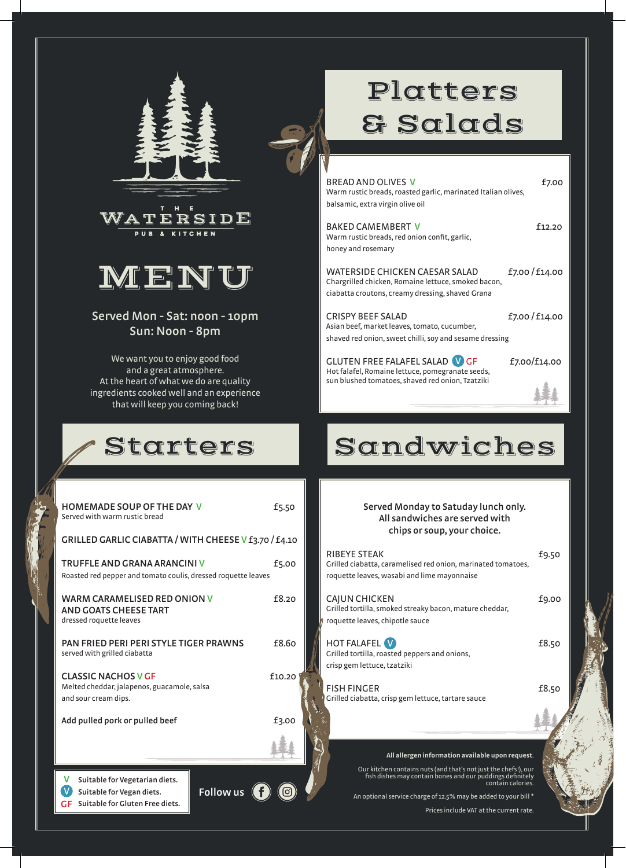



# MENU

**Served Mon - Sat: noon - 10pm Sun: Noon - 8pm**

We want you to enjoy good food and a great atmosphere. At the heart of what we do are quality ingredients cooked well and an experience that will keep you coming back!

#### Starters

**HOMEMADE SOUP OF THE DAY V F5.50** 

# Platters & Salads

BREAD AND OLIVES **V EXECUTE: EXECUTE: EXECUTE: EXECUTE: EXECUTE: EXECUTE: EXECUTE: EXECUTE: EXECUTE: EXECUTE: EXECUTE: EXECUTE: EXECUTE: EXECUTE: EXECUTE: EXECUTE: EXECUTE: EXECUTE: EX** Warm rustic breads, roasted garlic, marinated Italian olives, balsamic, extra virgin olive oil

BAKED CAMEMBERT V f12.20 Warm rustic breads, red onion confit, garlic, honey and rosemary

WATERSIDE CHICKEN CAESAR SALAD f7.00 / f14.00 Chargrilled chicken, Romaine lettuce, smoked bacon, ciabatta croutons, creamy dressing, shaved Grana

CRISPY BEEF SALAD  $f$ 7.00 / £14.00 Asian beef, market leaves, tomato, cucumber, shaved red onion, sweet chilli, soy and sesame dressing

GLUTEN FREE FALAFEL SALAD VGF f7.00/f14.00 Hot falafel, Romaine lettuce, pomegranate seeds, sun blushed tomatoes, shaved red onion, Tzatziki

## Sandwiches

**Served Monday to Satuday lunch only. All sandwiches are served with chips or soup, your choice.**

| RIBEYE STEAK<br>Grilled ciabatta, caramelised red onion, marinated tomatoes,<br>roquette leaves, wasabi and lime mayonnaise | £9.50 |
|-----------------------------------------------------------------------------------------------------------------------------|-------|
| CAJUN CHICKEN<br>Grilled tortilla, smoked streaky bacon, mature cheddar,<br>roquette leaves, chipotle sauce                 | £9.00 |
| <b>HOT FALAFEL W</b><br>Grilled tortilla, roasted peppers and onions,<br>crisp gem lettuce, tzatziki                        | £8.50 |
| <b>FISH FINGER</b><br>Grilled ciabatta, crisp gem lettuce, tartare sauce                                                    | £8.50 |
|                                                                                                                             |       |
| All allergen information available upon request.                                                                            |       |

Our kitchen contains nuts (and that's not just the chefs!), our fish dishes may contain bones and our puddings definitely contain calories.

An optional service charge of 12.5% may be added to your bill \* Prices include VAT at the current rate.

| GRILLED GARLIC CIABATTA / WITH CHEESE V f3.70 / f4.10                                             |                  |
|---------------------------------------------------------------------------------------------------|------------------|
| TRUFFLE AND GRANA ARANCINI V<br>Roasted red pepper and tomato coulis, dressed roquette leaves     | £5.00            |
| <b>WARM CARAMELISED RED ONION V</b><br>AND GOATS CHEESE TART<br>dressed roquette leaves           | f8.20            |
| PAN FRIED PERI PERI STYLE TIGER PRAWNS<br>served with grilled ciabatta                            | £8.60            |
| <b>CLASSIC NACHOS V GF</b><br>Melted cheddar, jalapenos, guacamole, salsa<br>and sour cream dips. | £10.20           |
| Add pulled pork or pulled beef                                                                    | £3.00            |
|                                                                                                   |                  |
| v<br>Suitable for Vegetarian diets.<br>Suitable for Vegan diets.                                  | <b>Follow us</b> |

**Suitable for Vegan diets. Suitable for Gluten Free diets. GF**

Served with warm rustic bread